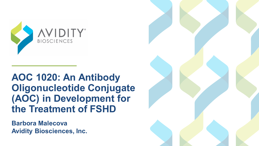

# **AOC 1020: An Antibody Oligonucleotide Conjugate (AOC) in Development for the Treatment of FSHD**

**Barbora Malecova Avidity Biosciences, Inc.**

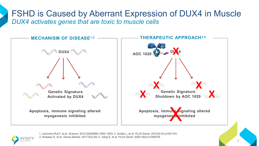### FSHD is Caused by Aberrant Expression of DUX4 in Muscle *DUX4 activates genes that are toxic to muscle cells*





1. Lemmers RJLF, et al. *Science.* 2010;329(5999):1650–1653; 2. Snider L, et al. *PLoS Genet*. 2010;6(10):e1001181; 3. Ansseau E, et al. *Genes (Basel)*. 2017;8(3):93; 4. Jiang S, et al. *PLoS Genet*. 2020;16(5):e1008754.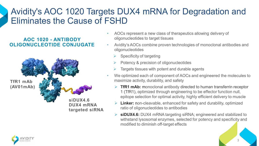# Avidity's AOC 1020 Targets DUX4 mRNA for Degradation and Eliminates the Cause of FSHD

### **AOC 1020 - ANTIBODY OLIGONUCLEOTIDE CONJUGATE**



- AOCs represent a new class of therapeutics allowing delivery of oligonucleotides to target tissues
- Avidity's AOCs combine proven technologies of monoclonal antibodies and oligonucleotides
	- Specificity of targeting
	- Potency & precision of oligonucleotides
	- Targets tissues with potent and durable agents
- We optimized each of component of AOCs and engineered the molecules to maximize activity, durability, and safety
	- **► TfR1 mAb:** monoclonal antibody directed to human transferrin receptor 1 (TfR1), optimized through engineering to be effector function null, epitope selection for optimal activity, highly efficient delivery to muscle
	- **Linker:** non-cleavable, enhanced for safety and durability, optimized ratio of oligonucleotides to antibodies
	- **siDUX4.6:** DUX4 mRNA targeting siRNA; engineered and stabilized to withstand lysosomal enzymes, selected for potency and specificity and modified to diminish off-target effects

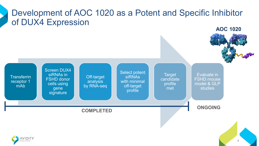# Development of AOC 1020 as a Potent and Specific Inhibitor of DUX4 Expression

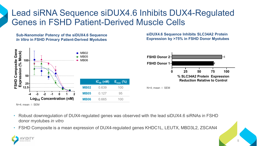# Lead siRNA Sequence siDUX4.6 Inhibits DUX4-Regulated Genes in FSHD Patient-Derived Muscle Cells

**Sub-Nanomolar Potency of the siDUX4.6 Sequence**  *In Vitro* **in FSHD Primary Patient-Derived Myotubes**

**siDUX4.6 Sequence Inhibits SLC34A2 Protein Expression by >75% in FSHD Donor Myotubes**



- Robust downregulation of DUX4-regulated genes was observed with the lead siDUX4.6 siRNAs in FSHD donor myotubes *in vitro*
- FSHD Composite is a mean expression of DUX4-regulated genes KHDC1L, LEUTX, MBD3L2, ZSCAN4

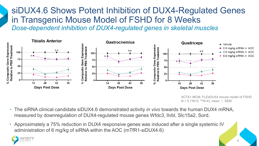### siDUX4.6 Shows Potent Inhibition of DUX4-Regulated Genes in Transgenic Mouse Model of FSHD for 8 Weeks *Dose-dependent inhibition of DUX4-regulated genes in skeletal muscles*



ACTA1-MCM; FLExDUX4 mouse model of FSHD N = 5 (\*N=3; \*\*N=4); mean  $\pm$  SEM

- The siRNA clinical candidate siDUX4.6 demonstrated activity *in vivo* towards the human DUX4 mRNA, measured by downregulation of DUX4-regulated mouse genes Wfdc3, Ilvbl, Slc15a2, Sord.
- Approximately a 75% reduction in DUX4 responsive genes was induced after a single systemic IV administration of 6 mg/kg of siRNA within the AOC (mTfR1-siDUX4.6)

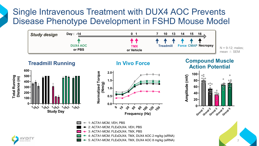## Single Intravenous Treatment with DUX4 AOC Prevents Disease Phenotype Development in FSHD Mouse Model









5: ACTA1-MCM; FLExDUX4, TMX, DUX4 AOC 8 mg/kg (siRNA) 4: ACTA1-MCM; FLExDUX4, TMX, DUX4 AOC 2 mg/kg (siRNA)

1: ACTA1-MCM, VEH, PBS

3: ACTA1-MCM; FLExDUX4, TMX, PBS 2: ACTA1-MCM; FLExDUX4, VEH, PBS





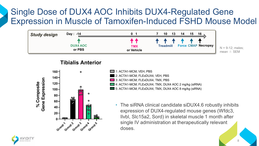## Single Dose of DUX4 AOC Inhibits DUX4-Regulated Gene Expression in Muscle of Tamoxifen-Induced FSHD Mouse Model



### **Tibialis Anterior**



- 1: ACTA1-MCM, VEH, PBS 5: ACTA1-MCM; FLExDUX4, TMX, DUX4 AOC 8 mg/kg (siRNA) 4: ACTA1-MCM; FLExDUX4, TMX, DUX4 AOC 2 mg/kg (siRNA) 3: ACTA1-MCM; FLExDUX4, TMX, PBS 2: ACTA1-MCM; FLExDUX4, VEH, PBS
	- The siRNA clinical candidate siDUX4.6 robustly inhibits expression of DUX4-regulated mouse genes (Wfdc3, Ilvbl, Slc15a2, Sord) in skeletal muscle 1 month after single IV administration at therapeutically relevant doses.

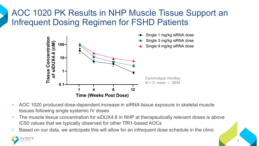# AOC 1020 PK Results in NHP Muscle Tissue Support an Infrequent Dosing Regimen for FSHD Patients



- AOC 1020 produced dose-dependent increase in siRNA tissue exposure in skeletal muscle tissues following single systemic IV doses
- The muscle tissue concentration for siDUX4.6 in NHP at therapeutically relevant doses is above IC50 values that we typically observed for other TfR1-based AOCs
- Based on our data, we anticipate this will allow for an infrequent dose schedule in the clinic

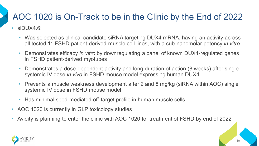# AOC 1020 is On-Track to be in the Clinic by the End of 2022

### • siDUX4.6:

- Was selected as clinical candidate siRNA targeting DUX4 mRNA, having an activity across all tested 11 FSHD patient-derived muscle cell lines, with a sub-nanomolar potency *in vitro*
- Demonstrates efficacy *in vitro* by downregulating a panel of known DUX4-regulated genes in FSHD patient-derived myotubes
- Demonstrates a dose-dependent activity and long duration of action (8 weeks) after single systemic IV dose *in vivo* in FSHD mouse model expressing human DUX4
- Prevents a muscle weakness development after 2 and 8 mg/kg (siRNA within AOC) single systemic IV dose in FSHD mouse model
- Has minimal seed-mediated off-target profile in human muscle cells
- AOC 1020 is currently in GLP toxicology studies
- Avidity is planning to enter the clinic with AOC 1020 for treatment of FSHD by end of 2022